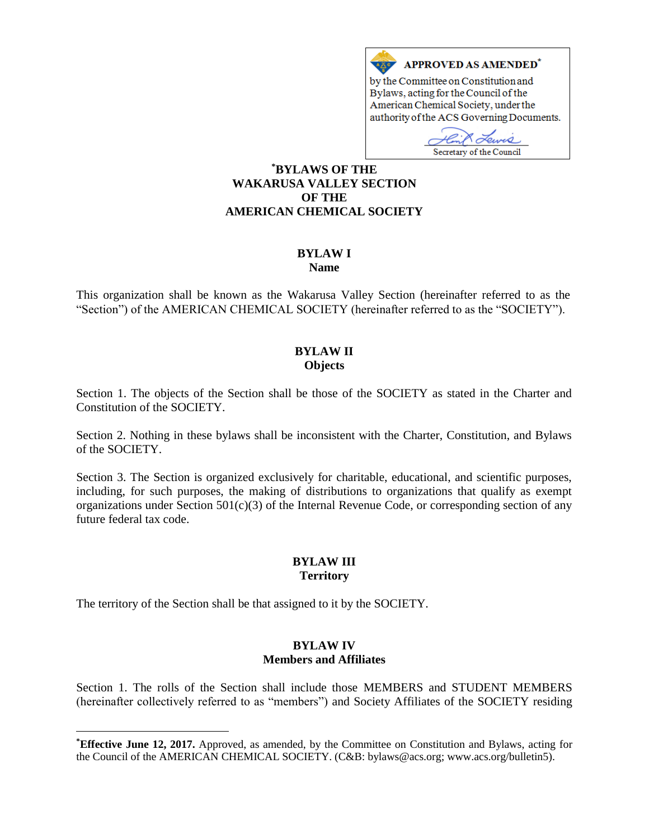

**\*BYLAWS OF THE WAKARUSA VALLEY SECTION OF THE AMERICAN CHEMICAL SOCIETY**

#### **BYLAW I Name**

This organization shall be known as the Wakarusa Valley Section (hereinafter referred to as the "Section") of the AMERICAN CHEMICAL SOCIETY (hereinafter referred to as the "SOCIETY").

### **BYLAW II Objects**

Section 1. The objects of the Section shall be those of the SOCIETY as stated in the Charter and Constitution of the SOCIETY.

Section 2. Nothing in these bylaws shall be inconsistent with the Charter, Constitution, and Bylaws of the SOCIETY.

Section 3. The Section is organized exclusively for charitable, educational, and scientific purposes, including, for such purposes, the making of distributions to organizations that qualify as exempt organizations under Section  $501(c)(3)$  of the Internal Revenue Code, or corresponding section of any future federal tax code.

# **BYLAW III Territory**

The territory of the Section shall be that assigned to it by the SOCIETY.

 $\overline{a}$ 

### **BYLAW IV Members and Affiliates**

Section 1. The rolls of the Section shall include those MEMBERS and STUDENT MEMBERS (hereinafter collectively referred to as "members") and Society Affiliates of the SOCIETY residing

**<sup>\*</sup>Effective June 12, 2017.** Approved, as amended, by the Committee on Constitution and Bylaws, acting for the Council of the AMERICAN CHEMICAL SOCIETY. (C&B: bylaws@acs.org; www.acs.org/bulletin5).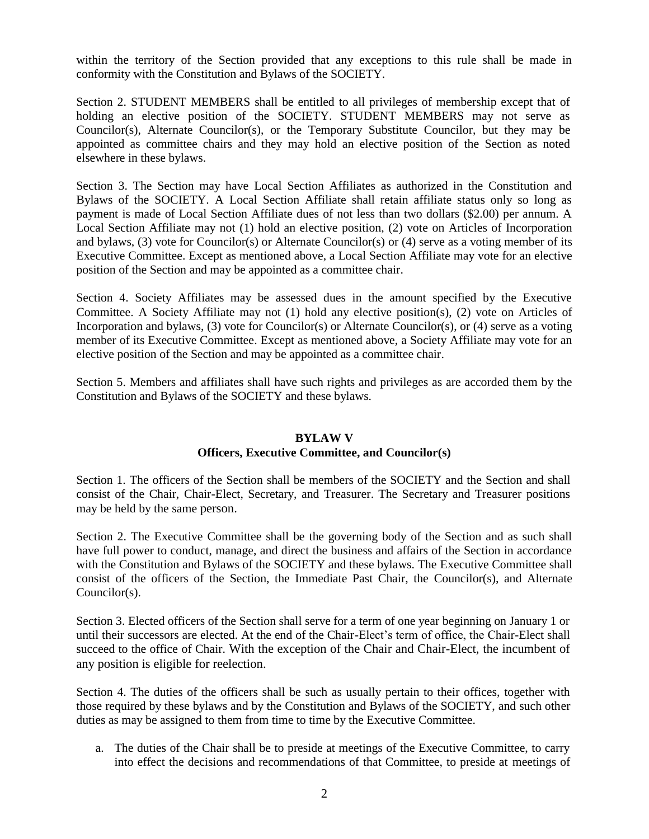within the territory of the Section provided that any exceptions to this rule shall be made in conformity with the Constitution and Bylaws of the SOCIETY.

Section 2. STUDENT MEMBERS shall be entitled to all privileges of membership except that of holding an elective position of the SOCIETY. STUDENT MEMBERS may not serve as Councilor(s), Alternate Councilor(s), or the Temporary Substitute Councilor, but they may be appointed as committee chairs and they may hold an elective position of the Section as noted elsewhere in these bylaws.

Section 3. The Section may have Local Section Affiliates as authorized in the Constitution and Bylaws of the SOCIETY. A Local Section Affiliate shall retain affiliate status only so long as payment is made of Local Section Affiliate dues of not less than two dollars (\$2.00) per annum. A Local Section Affiliate may not (1) hold an elective position, (2) vote on Articles of Incorporation and bylaws, (3) vote for Councilor(s) or Alternate Councilor(s) or (4) serve as a voting member of its Executive Committee. Except as mentioned above, a Local Section Affiliate may vote for an elective position of the Section and may be appointed as a committee chair.

Section 4. Society Affiliates may be assessed dues in the amount specified by the Executive Committee. A Society Affiliate may not (1) hold any elective position(s), (2) vote on Articles of Incorporation and bylaws, (3) vote for Councilor(s) or Alternate Councilor(s), or (4) serve as a voting member of its Executive Committee. Except as mentioned above, a Society Affiliate may vote for an elective position of the Section and may be appointed as a committee chair.

Section 5. Members and affiliates shall have such rights and privileges as are accorded them by the Constitution and Bylaws of the SOCIETY and these bylaws.

### **BYLAW V**

### **Officers, Executive Committee, and Councilor(s)**

Section 1. The officers of the Section shall be members of the SOCIETY and the Section and shall consist of the Chair, Chair-Elect, Secretary, and Treasurer. The Secretary and Treasurer positions may be held by the same person.

Section 2. The Executive Committee shall be the governing body of the Section and as such shall have full power to conduct, manage, and direct the business and affairs of the Section in accordance with the Constitution and Bylaws of the SOCIETY and these bylaws. The Executive Committee shall consist of the officers of the Section, the Immediate Past Chair, the Councilor(s), and Alternate Councilor(s).

Section 3. Elected officers of the Section shall serve for a term of one year beginning on January 1 or until their successors are elected. At the end of the Chair-Elect's term of office, the Chair-Elect shall succeed to the office of Chair. With the exception of the Chair and Chair-Elect, the incumbent of any position is eligible for reelection.

Section 4. The duties of the officers shall be such as usually pertain to their offices, together with those required by these bylaws and by the Constitution and Bylaws of the SOCIETY, and such other duties as may be assigned to them from time to time by the Executive Committee.

a. The duties of the Chair shall be to preside at meetings of the Executive Committee, to carry into effect the decisions and recommendations of that Committee, to preside at meetings of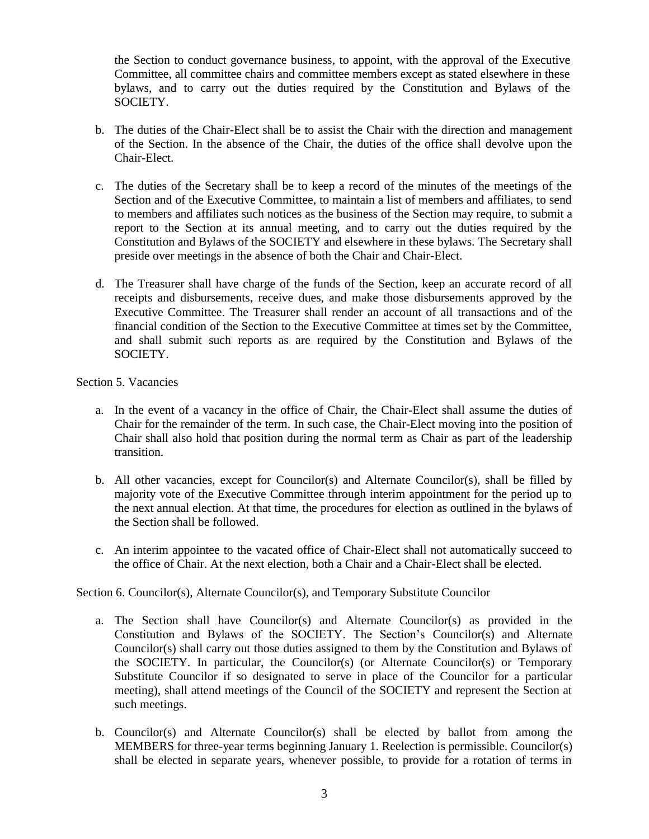the Section to conduct governance business, to appoint, with the approval of the Executive Committee, all committee chairs and committee members except as stated elsewhere in these bylaws, and to carry out the duties required by the Constitution and Bylaws of the SOCIETY.

- b. The duties of the Chair-Elect shall be to assist the Chair with the direction and management of the Section. In the absence of the Chair, the duties of the office shall devolve upon the Chair-Elect.
- c. The duties of the Secretary shall be to keep a record of the minutes of the meetings of the Section and of the Executive Committee, to maintain a list of members and affiliates, to send to members and affiliates such notices as the business of the Section may require, to submit a report to the Section at its annual meeting, and to carry out the duties required by the Constitution and Bylaws of the SOCIETY and elsewhere in these bylaws. The Secretary shall preside over meetings in the absence of both the Chair and Chair-Elect.
- d. The Treasurer shall have charge of the funds of the Section, keep an accurate record of all receipts and disbursements, receive dues, and make those disbursements approved by the Executive Committee. The Treasurer shall render an account of all transactions and of the financial condition of the Section to the Executive Committee at times set by the Committee, and shall submit such reports as are required by the Constitution and Bylaws of the SOCIETY.

Section 5. Vacancies

- a. In the event of a vacancy in the office of Chair, the Chair-Elect shall assume the duties of Chair for the remainder of the term. In such case, the Chair-Elect moving into the position of Chair shall also hold that position during the normal term as Chair as part of the leadership transition.
- b. All other vacancies, except for Councilor(s) and Alternate Councilor(s), shall be filled by majority vote of the Executive Committee through interim appointment for the period up to the next annual election. At that time, the procedures for election as outlined in the bylaws of the Section shall be followed.
- c. An interim appointee to the vacated office of Chair-Elect shall not automatically succeed to the office of Chair. At the next election, both a Chair and a Chair-Elect shall be elected.

Section 6. Councilor(s), Alternate Councilor(s), and Temporary Substitute Councilor

- a. The Section shall have Councilor(s) and Alternate Councilor(s) as provided in the Constitution and Bylaws of the SOCIETY. The Section's Councilor(s) and Alternate Councilor(s) shall carry out those duties assigned to them by the Constitution and Bylaws of the SOCIETY. In particular, the Councilor(s) (or Alternate Councilor(s) or Temporary Substitute Councilor if so designated to serve in place of the Councilor for a particular meeting), shall attend meetings of the Council of the SOCIETY and represent the Section at such meetings.
- b. Councilor(s) and Alternate Councilor(s) shall be elected by ballot from among the MEMBERS for three-year terms beginning January 1. Reelection is permissible. Councilor(s) shall be elected in separate years, whenever possible, to provide for a rotation of terms in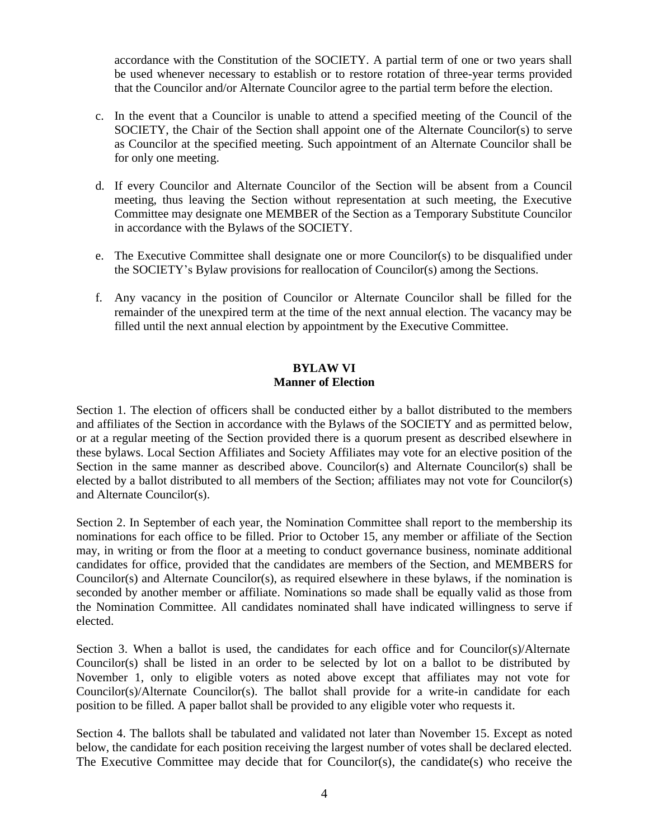accordance with the Constitution of the SOCIETY. A partial term of one or two years shall be used whenever necessary to establish or to restore rotation of three-year terms provided that the Councilor and/or Alternate Councilor agree to the partial term before the election.

- c. In the event that a Councilor is unable to attend a specified meeting of the Council of the SOCIETY, the Chair of the Section shall appoint one of the Alternate Councilor(s) to serve as Councilor at the specified meeting. Such appointment of an Alternate Councilor shall be for only one meeting.
- d. If every Councilor and Alternate Councilor of the Section will be absent from a Council meeting, thus leaving the Section without representation at such meeting, the Executive Committee may designate one MEMBER of the Section as a Temporary Substitute Councilor in accordance with the Bylaws of the SOCIETY.
- e. The Executive Committee shall designate one or more Councilor(s) to be disqualified under the SOCIETY's Bylaw provisions for reallocation of Councilor(s) among the Sections.
- f. Any vacancy in the position of Councilor or Alternate Councilor shall be filled for the remainder of the unexpired term at the time of the next annual election. The vacancy may be filled until the next annual election by appointment by the Executive Committee.

#### **BYLAW VI Manner of Election**

Section 1. The election of officers shall be conducted either by a ballot distributed to the members and affiliates of the Section in accordance with the Bylaws of the SOCIETY and as permitted below, or at a regular meeting of the Section provided there is a quorum present as described elsewhere in these bylaws. Local Section Affiliates and Society Affiliates may vote for an elective position of the Section in the same manner as described above. Councilor(s) and Alternate Councilor(s) shall be elected by a ballot distributed to all members of the Section; affiliates may not vote for Councilor(s) and Alternate Councilor(s).

Section 2. In September of each year, the Nomination Committee shall report to the membership its nominations for each office to be filled. Prior to October 15, any member or affiliate of the Section may, in writing or from the floor at a meeting to conduct governance business, nominate additional candidates for office, provided that the candidates are members of the Section, and MEMBERS for Councilor(s) and Alternate Councilor(s), as required elsewhere in these bylaws, if the nomination is seconded by another member or affiliate. Nominations so made shall be equally valid as those from the Nomination Committee. All candidates nominated shall have indicated willingness to serve if elected.

Section 3. When a ballot is used, the candidates for each office and for Councilor( $s$ )/Alternate Councilor(s) shall be listed in an order to be selected by lot on a ballot to be distributed by November 1, only to eligible voters as noted above except that affiliates may not vote for Councilor(s)/Alternate Councilor(s). The ballot shall provide for a write-in candidate for each position to be filled. A paper ballot shall be provided to any eligible voter who requests it.

Section 4. The ballots shall be tabulated and validated not later than November 15. Except as noted below, the candidate for each position receiving the largest number of votes shall be declared elected. The Executive Committee may decide that for Councilor(s), the candidate(s) who receive the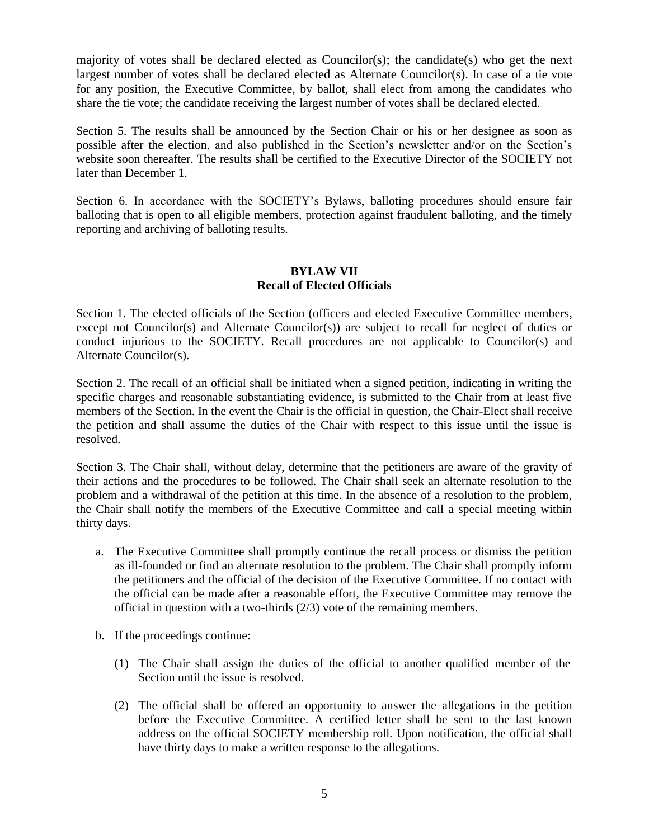majority of votes shall be declared elected as Councilor(s); the candidate(s) who get the next largest number of votes shall be declared elected as Alternate Councilor(s). In case of a tie vote for any position, the Executive Committee, by ballot, shall elect from among the candidates who share the tie vote; the candidate receiving the largest number of votes shall be declared elected.

Section 5. The results shall be announced by the Section Chair or his or her designee as soon as possible after the election, and also published in the Section's newsletter and/or on the Section's website soon thereafter. The results shall be certified to the Executive Director of the SOCIETY not later than December 1.

Section 6. In accordance with the SOCIETY's Bylaws, balloting procedures should ensure fair balloting that is open to all eligible members, protection against fraudulent balloting, and the timely reporting and archiving of balloting results.

# **BYLAW VII Recall of Elected Officials**

Section 1. The elected officials of the Section (officers and elected Executive Committee members, except not Councilor(s) and Alternate Councilor(s)) are subject to recall for neglect of duties or conduct injurious to the SOCIETY. Recall procedures are not applicable to Councilor(s) and Alternate Councilor(s).

Section 2. The recall of an official shall be initiated when a signed petition, indicating in writing the specific charges and reasonable substantiating evidence, is submitted to the Chair from at least five members of the Section. In the event the Chair is the official in question, the Chair-Elect shall receive the petition and shall assume the duties of the Chair with respect to this issue until the issue is resolved.

Section 3. The Chair shall, without delay, determine that the petitioners are aware of the gravity of their actions and the procedures to be followed. The Chair shall seek an alternate resolution to the problem and a withdrawal of the petition at this time. In the absence of a resolution to the problem, the Chair shall notify the members of the Executive Committee and call a special meeting within thirty days.

- a. The Executive Committee shall promptly continue the recall process or dismiss the petition as ill-founded or find an alternate resolution to the problem. The Chair shall promptly inform the petitioners and the official of the decision of the Executive Committee. If no contact with the official can be made after a reasonable effort, the Executive Committee may remove the official in question with a two-thirds (2/3) vote of the remaining members.
- b. If the proceedings continue:
	- (1) The Chair shall assign the duties of the official to another qualified member of the Section until the issue is resolved.
	- (2) The official shall be offered an opportunity to answer the allegations in the petition before the Executive Committee. A certified letter shall be sent to the last known address on the official SOCIETY membership roll. Upon notification, the official shall have thirty days to make a written response to the allegations.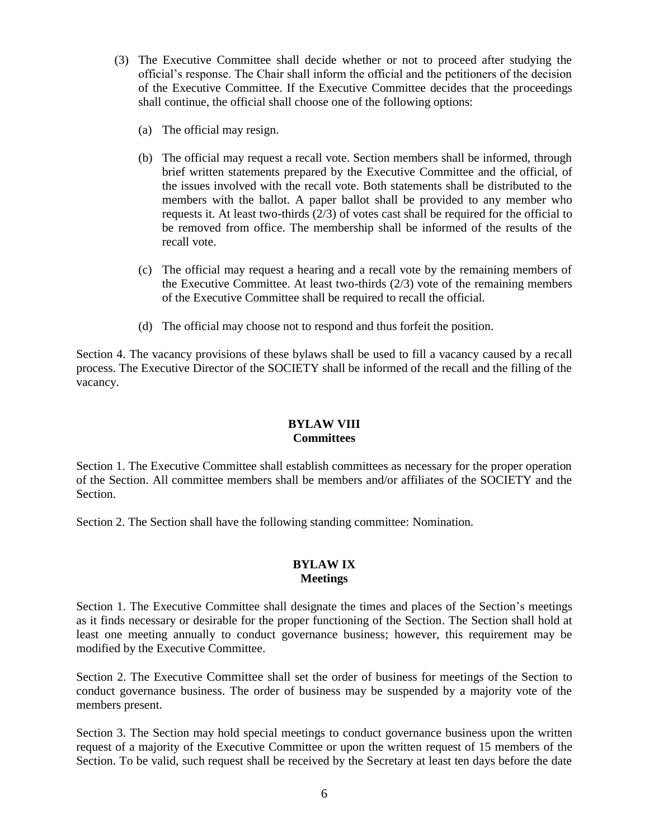- (3) The Executive Committee shall decide whether or not to proceed after studying the official's response. The Chair shall inform the official and the petitioners of the decision of the Executive Committee. If the Executive Committee decides that the proceedings shall continue, the official shall choose one of the following options:
	- (a) The official may resign.
	- (b) The official may request a recall vote. Section members shall be informed, through brief written statements prepared by the Executive Committee and the official, of the issues involved with the recall vote. Both statements shall be distributed to the members with the ballot. A paper ballot shall be provided to any member who requests it. At least two-thirds (2/3) of votes cast shall be required for the official to be removed from office. The membership shall be informed of the results of the recall vote.
	- (c) The official may request a hearing and a recall vote by the remaining members of the Executive Committee. At least two-thirds (2/3) vote of the remaining members of the Executive Committee shall be required to recall the official.
	- (d) The official may choose not to respond and thus forfeit the position.

Section 4. The vacancy provisions of these bylaws shall be used to fill a vacancy caused by a recall process. The Executive Director of the SOCIETY shall be informed of the recall and the filling of the vacancy.

# **BYLAW VIII Committees**

Section 1. The Executive Committee shall establish committees as necessary for the proper operation of the Section. All committee members shall be members and/or affiliates of the SOCIETY and the Section.

Section 2. The Section shall have the following standing committee: Nomination.

# **BYLAW IX Meetings**

Section 1. The Executive Committee shall designate the times and places of the Section's meetings as it finds necessary or desirable for the proper functioning of the Section. The Section shall hold at least one meeting annually to conduct governance business; however, this requirement may be modified by the Executive Committee.

Section 2. The Executive Committee shall set the order of business for meetings of the Section to conduct governance business. The order of business may be suspended by a majority vote of the members present.

Section 3. The Section may hold special meetings to conduct governance business upon the written request of a majority of the Executive Committee or upon the written request of 15 members of the Section. To be valid, such request shall be received by the Secretary at least ten days before the date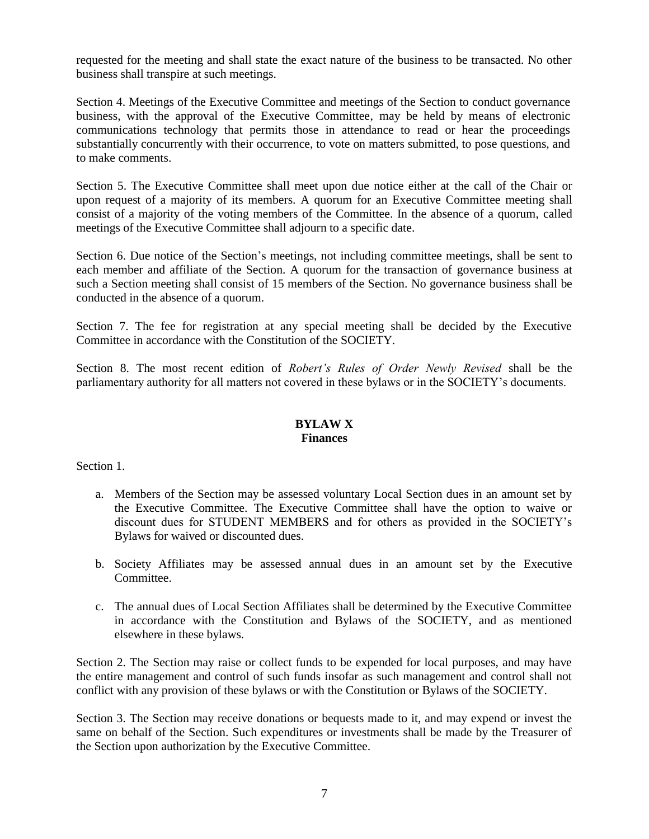requested for the meeting and shall state the exact nature of the business to be transacted. No other business shall transpire at such meetings.

Section 4. Meetings of the Executive Committee and meetings of the Section to conduct governance business, with the approval of the Executive Committee, may be held by means of electronic communications technology that permits those in attendance to read or hear the proceedings substantially concurrently with their occurrence, to vote on matters submitted, to pose questions, and to make comments.

Section 5. The Executive Committee shall meet upon due notice either at the call of the Chair or upon request of a majority of its members. A quorum for an Executive Committee meeting shall consist of a majority of the voting members of the Committee. In the absence of a quorum, called meetings of the Executive Committee shall adjourn to a specific date.

Section 6. Due notice of the Section's meetings, not including committee meetings, shall be sent to each member and affiliate of the Section. A quorum for the transaction of governance business at such a Section meeting shall consist of 15 members of the Section. No governance business shall be conducted in the absence of a quorum.

Section 7. The fee for registration at any special meeting shall be decided by the Executive Committee in accordance with the Constitution of the SOCIETY.

Section 8. The most recent edition of *Robert's Rules of Order Newly Revised* shall be the parliamentary authority for all matters not covered in these bylaws or in the SOCIETY's documents.

#### **BYLAW X Finances**

Section 1.

- a. Members of the Section may be assessed voluntary Local Section dues in an amount set by the Executive Committee. The Executive Committee shall have the option to waive or discount dues for STUDENT MEMBERS and for others as provided in the SOCIETY's Bylaws for waived or discounted dues.
- b. Society Affiliates may be assessed annual dues in an amount set by the Executive Committee.
- c. The annual dues of Local Section Affiliates shall be determined by the Executive Committee in accordance with the Constitution and Bylaws of the SOCIETY, and as mentioned elsewhere in these bylaws.

Section 2. The Section may raise or collect funds to be expended for local purposes, and may have the entire management and control of such funds insofar as such management and control shall not conflict with any provision of these bylaws or with the Constitution or Bylaws of the SOCIETY.

Section 3. The Section may receive donations or bequests made to it, and may expend or invest the same on behalf of the Section. Such expenditures or investments shall be made by the Treasurer of the Section upon authorization by the Executive Committee.